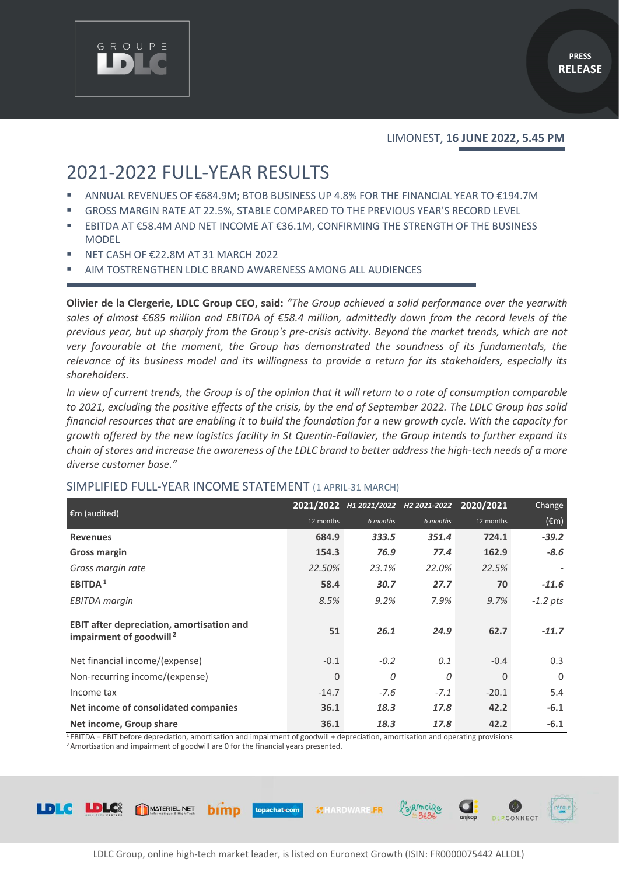

#### LIMONEST, **16 JUNE 2022, 5.45 PM**

# 2021-2022 FULL-YEAR RESULTS

- ANNUAL REVENUES OF €684.9M; BTOB BUSINESS UP 4.8% FOR THE FINANCIAL YEAR TO €194.7M
- GROSS MARGIN RATE AT 22.5%, STABLE COMPARED TO THE PREVIOUS YEAR'S RECORD LEVEL
- EBITDA AT €58.4M AND NET INCOME AT €36.1M, CONFIRMING THE STRENGTH OF THE BUSINESS MODEL
- NET CASH OF €22.8M AT 31 MARCH 2022
- AIM TOSTRENGTHEN LDLC BRAND AWARENESS AMONG ALL AUDIENCES

**Olivier de la Clergerie, LDLC Group CEO, said:** *"The Group achieved a solid performance over the yearwith* sales of almost €685 million and EBITDA of €58.4 million, admittedly down from the record levels of the *previous year, but up sharply from the Group's pre-crisis activity. Beyond the market trends, which are not very favourable at the moment, the Group has demonstrated the soundness of its fundamentals, the relevance of its business model and its willingness to provide a return for its stakeholders, especially its shareholders.*

*In view of current trends, the Group is of the opinion that it will return to a rate of consumption comparable to 2021, excluding the positive effects of the crisis, by the end of September 2022. The LDLC Group has solid financial resources that are enabling it to build the foundation for a new growth cycle. With the capacity for growth offered by the new logistics facility in St Quentin-Fallavier, the Group intends to further expand its chain of stores and increase the awareness of the LDLC brand to better address the high-tech needs of a more diverse customer base."*

| $\epsilon$ m (audited)                                                                  |              |          | 2021/2022 H1 2021/2022 H2 2021-2022 | 2020/2021 | Change         |
|-----------------------------------------------------------------------------------------|--------------|----------|-------------------------------------|-----------|----------------|
|                                                                                         | 12 months    | 6 months | 6 months                            | 12 months | $(\epsilon m)$ |
| <b>Revenues</b>                                                                         | 684.9        | 333.5    | 351.4                               | 724.1     | $-39.2$        |
| <b>Gross margin</b>                                                                     | 154.3        | 76.9     | 77.4                                | 162.9     | $-8.6$         |
| Gross margin rate                                                                       | 22.50%       | 23.1%    | 22.0%                               | 22.5%     |                |
| EBITDA <sup>1</sup>                                                                     | 58.4         | 30.7     | 27.7                                | 70        | $-11.6$        |
| <b>EBITDA</b> margin                                                                    | 8.5%         | 9.2%     | 7.9%                                | 9.7%      | $-1.2$ pts     |
| <b>EBIT after depreciation, amortisation and</b><br>impairment of goodwill <sup>2</sup> | 51           | 26.1     | 24.9                                | 62.7      | $-11.7$        |
| Net financial income/(expense)                                                          | $-0.1$       | $-0.2$   | 0.1                                 | $-0.4$    | 0.3            |
| Non-recurring income/(expense)                                                          | $\mathbf{0}$ | 0        | 0                                   | $\Omega$  | $\Omega$       |
| Income tax                                                                              | $-14.7$      | $-7.6$   | $-7.1$                              | $-20.1$   | 5.4            |
| Net income of consolidated companies                                                    | 36.1         | 18.3     | 17.8                                | 42.2      | $-6.1$         |
| Net income, Group share                                                                 | 36.1         | 18.3     | 17.8                                | 42.2      | $-6.1$         |

#### SIMPLIFIED FULL-YEAR INCOME STATEMENT (1 APRIL-31 MARCH)

<sup>1</sup>EBITDA = EBIT before depreciation, amortisation and impairment of goodwill + depreciation, amortisation and operating provisions

topachat.com

<sup>2</sup> Amortisation and impairment of goodwill are 0 for the financial years presented.

bimp



**WHARDWARE.FR** 

/'alRmouRe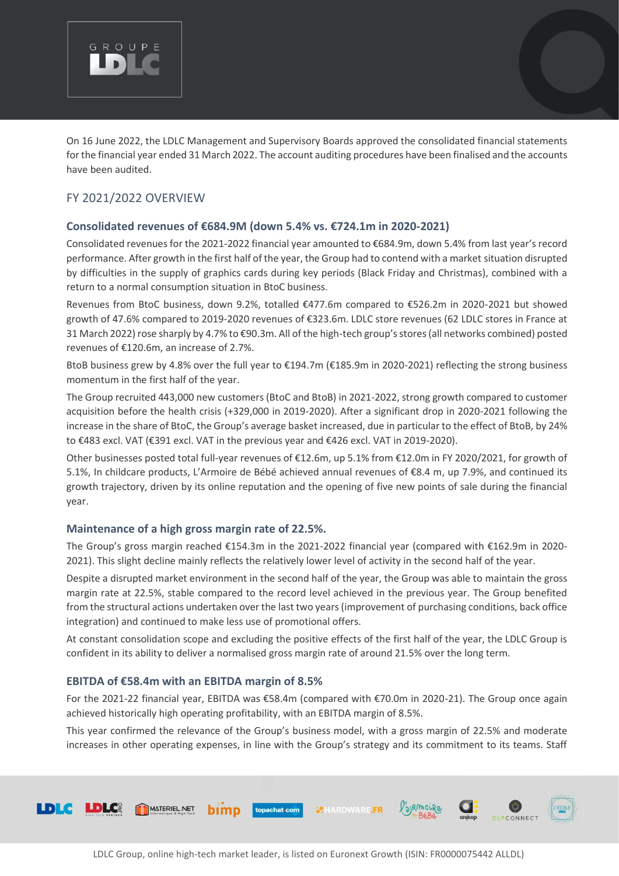

On 16 June 2022, the LDLC Management and Supervisory Boards approved the consolidated financial statements for the financial year ended 31 March 2022. The account auditing procedures have been finalised and the accounts have been audited.

# FY 2021/2022 OVERVIEW

# **Consolidated revenues of €684.9M (down 5.4% vs. €724.1m in 2020-2021)**

Consolidated revenues for the 2021-2022 financial year amounted to €684.9m, down 5.4% from last year's record performance. After growth in the first half of the year, the Group had to contend with a market situation disrupted by difficulties in the supply of graphics cards during key periods (Black Friday and Christmas), combined with a return to a normal consumption situation in BtoC business.

Revenues from BtoC business, down 9.2%, totalled €477.6m compared to €526.2m in 2020-2021 but showed growth of 47.6% compared to 2019-2020 revenues of €323.6m. LDLC store revenues (62 LDLC stores in France at 31 March 2022) rose sharply by 4.7% to €90.3m. All of the high-tech group's stores (all networks combined) posted revenues of €120.6m, an increase of 2.7%.

BtoB business grew by 4.8% over the full year to €194.7m (€185.9m in 2020-2021) reflecting the strong business momentum in the first half of the year.

The Group recruited 443,000 new customers (BtoC and BtoB) in 2021-2022, strong growth compared to customer acquisition before the health crisis (+329,000 in 2019-2020). After a significant drop in 2020-2021 following the increase in the share of BtoC, the Group's average basket increased, due in particular to the effect of BtoB, by 24% to €483 excl. VAT (€391 excl. VAT in the previous year and €426 excl. VAT in 2019-2020).

Other businesses posted total full-year revenues of €12.6m, up 5.1% from €12.0m in FY 2020/2021, for growth of 5.1%, In childcare products, L'Armoire de Bébé achieved annual revenues of €8.4 m, up 7.9%, and continued its growth trajectory, driven by its online reputation and the opening of five new points of sale during the financial year.

# **Maintenance of a high gross margin rate of 22.5%.**

The Group's gross margin reached €154.3m in the 2021-2022 financial year (compared with €162.9m in 2020- 2021). This slight decline mainly reflects the relatively lower level of activity in the second half of the year.

Despite a disrupted market environment in the second half of the year, the Group was able to maintain the gross margin rate at 22.5%, stable compared to the record level achieved in the previous year. The Group benefited from the structural actions undertaken over the last two years (improvement of purchasing conditions, back office integration) and continued to make less use of promotional offers.

At constant consolidation scope and excluding the positive effects of the first half of the year, the LDLC Group is confident in its ability to deliver a normalised gross margin rate of around 21.5% over the long term.

# **EBITDA of €58.4m with an EBITDA margin of 8.5%**

For the 2021-22 financial year, EBITDA was €58.4m (compared with €70.0m in 2020-21). The Group once again achieved historically high operating profitability, with an EBITDA margin of 8.5%.

This year confirmed the relevance of the Group's business model, with a gross margin of 22.5% and moderate increases in other operating expenses, in line with the Group's strategy and its commitment to its teams. Staff

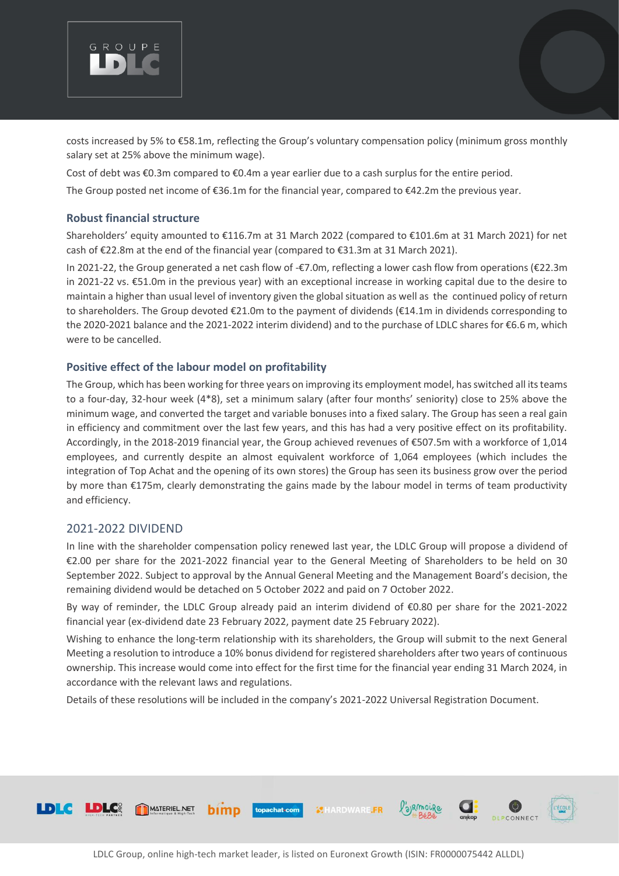

costs increased by 5% to €58.1m, reflecting the Group's voluntary compensation policy (minimum gross monthly salary set at 25% above the minimum wage).

Cost of debt was €0.3m compared to €0.4m a year earlier due to a cash surplus for the entire period.

The Group posted net income of €36.1m for the financial year, compared to €42.2m the previous year.

### **Robust financial structure**

Shareholders' equity amounted to €116.7m at 31 March 2022 (compared to €101.6m at 31 March 2021) for net cash of €22.8m at the end of the financial year (compared to €31.3m at 31 March 2021).

In 2021-22, the Group generated a net cash flow of -€7.0m, reflecting a lower cash flow from operations (€22.3m in 2021-22 vs. €51.0m in the previous year) with an exceptional increase in working capital due to the desire to maintain a higher than usual level of inventory given the global situation as well as the continued policy of return to shareholders. The Group devoted €21.0m to the payment of dividends (€14.1m in dividends corresponding to the 2020-2021 balance and the 2021-2022 interim dividend) and to the purchase of LDLC shares for €6.6 m, which were to be cancelled.

# **Positive effect of the labour model on profitability**

The Group, which has been working for three years on improving its employment model, has switched all its teams to a four-day, 32-hour week (4\*8), set a minimum salary (after four months' seniority) close to 25% above the minimum wage, and converted the target and variable bonuses into a fixed salary. The Group has seen a real gain in efficiency and commitment over the last few years, and this has had a very positive effect on its profitability. Accordingly, in the 2018-2019 financial year, the Group achieved revenues of €507.5m with a workforce of 1,014 employees, and currently despite an almost equivalent workforce of 1,064 employees (which includes the integration of Top Achat and the opening of its own stores) the Group has seen its business grow over the period by more than €175m, clearly demonstrating the gains made by the labour model in terms of team productivity and efficiency.

# 2021-2022 DIVIDEND

In line with the shareholder compensation policy renewed last year, the LDLC Group will propose a dividend of €2.00 per share for the 2021-2022 financial year to the General Meeting of Shareholders to be held on 30 September 2022. Subject to approval by the Annual General Meeting and the Management Board's decision, the remaining dividend would be detached on 5 October 2022 and paid on 7 October 2022.

By way of reminder, the LDLC Group already paid an interim dividend of €0.80 per share for the 2021-2022 financial year (ex-dividend date 23 February 2022, payment date 25 February 2022).

Wishing to enhance the long-term relationship with its shareholders, the Group will submit to the next General Meeting a resolution to introduce a 10% bonus dividend for registered shareholders after two years of continuous ownership. This increase would come into effect for the first time for the financial year ending 31 March 2024, in accordance with the relevant laws and regulations.

Details of these resolutions will be included in the company's 2021-2022 Universal Registration Document.

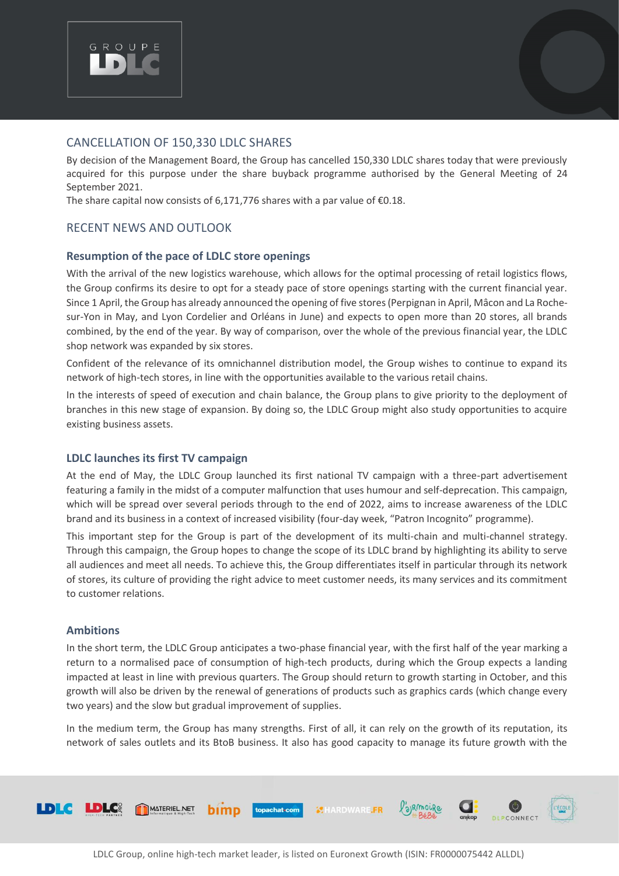

# CANCELLATION OF 150,330 LDLC SHARES

By decision of the Management Board, the Group has cancelled 150,330 LDLC shares today that were previously acquired for this purpose under the share buyback programme authorised by the General Meeting of 24 September 2021.

The share capital now consists of 6,171,776 shares with a par value of  $E$ 0.18.

# RECENT NEWS AND OUTLOOK

### **Resumption of the pace of LDLC store openings**

With the arrival of the new logistics warehouse, which allows for the optimal processing of retail logistics flows, the Group confirms its desire to opt for a steady pace of store openings starting with the current financial year. Since 1 April, the Group has already announced the opening of five stores (Perpignan in April, Mâcon and La Rochesur-Yon in May, and Lyon Cordelier and Orléans in June) and expects to open more than 20 stores, all brands combined, by the end of the year. By way of comparison, over the whole of the previous financial year, the LDLC shop network was expanded by six stores.

Confident of the relevance of its omnichannel distribution model, the Group wishes to continue to expand its network of high-tech stores, in line with the opportunities available to the various retail chains.

In the interests of speed of execution and chain balance, the Group plans to give priority to the deployment of branches in this new stage of expansion. By doing so, the LDLC Group might also study opportunities to acquire existing business assets.

#### **LDLC launches its first TV campaign**

At the end of May, the LDLC Group launched its first national TV campaign with a three-part advertisement featuring a family in the midst of a computer malfunction that uses humour and self-deprecation. This campaign, which will be spread over several periods through to the end of 2022, aims to increase awareness of the LDLC brand and its business in a context of increased visibility (four-day week, "Patron Incognito" programme).

This important step for the Group is part of the development of its multi-chain and multi-channel strategy. Through this campaign, the Group hopes to change the scope of its LDLC brand by highlighting its ability to serve all audiences and meet all needs. To achieve this, the Group differentiates itself in particular through its network of stores, its culture of providing the right advice to meet customer needs, its many services and its commitment to customer relations.

#### **Ambitions**

In the short term, the LDLC Group anticipates a two-phase financial year, with the first half of the year marking a return to a normalised pace of consumption of high-tech products, during which the Group expects a landing impacted at least in line with previous quarters. The Group should return to growth starting in October, and this growth will also be driven by the renewal of generations of products such as graphics cards (which change every two years) and the slow but gradual improvement of supplies.

In the medium term, the Group has many strengths. First of all, it can rely on the growth of its reputation, its network of sales outlets and its BtoB business. It also has good capacity to manage its future growth with the